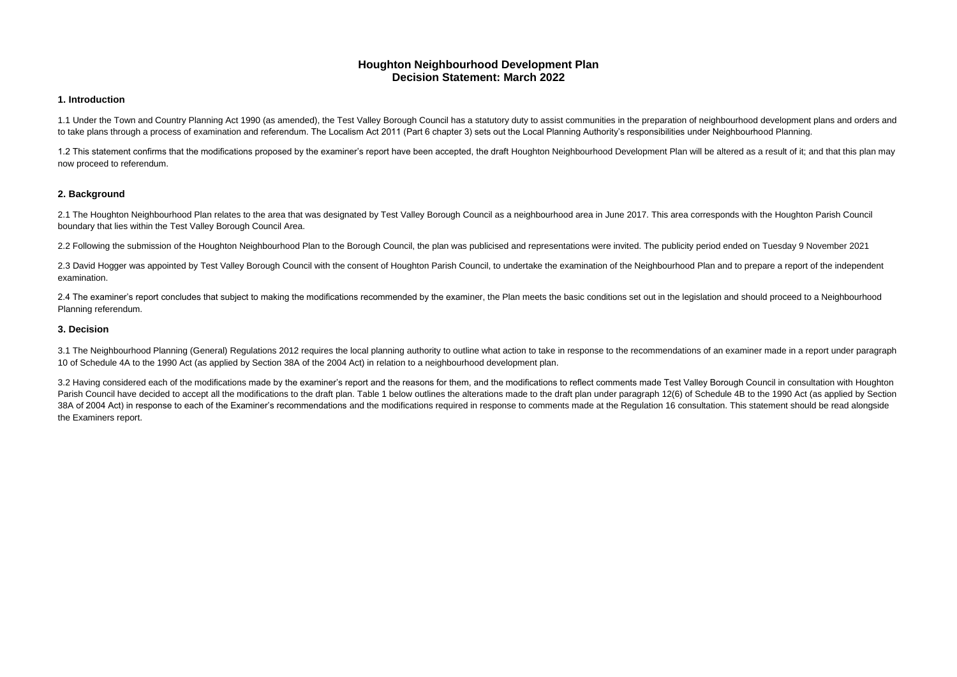# **Houghton Neighbourhood Development Plan Decision Statement: March 2022**

#### **1. Introduction**

1.1 Under the Town and Country Planning Act 1990 (as amended), the Test Valley Borough Council has a statutory duty to assist communities in the preparation of neighbourhood development plans and orders and to take plans through a process of examination and referendum. The Localism Act 2011 (Part 6 chapter 3) sets out the Local Planning Authority's responsibilities under Neighbourhood Planning.

2.1 The Houghton Neighbourhood Plan relates to the area that was designated by Test Valley Borough Council as a neighbourhood area in June 2017. This area corresponds with the Houghton Parish Council boundary that lies within the Test Valley Borough Council Area.

1.2 This statement confirms that the modifications proposed by the examiner's report have been accepted, the draft Houghton Neighbourhood Development Plan will be altered as a result of it; and that this plan may now proceed to referendum.

2.3 David Hogger was appointed by Test Valley Borough Council with the consent of Houghton Parish Council, to undertake the examination of the Neighbourhood Plan and to prepare a report of the independent examination.

## **2. Background**

2.4 The examiner's report concludes that subject to making the modifications recommended by the examiner, the Plan meets the basic conditions set out in the legislation and should proceed to a Neighbourhood Planning referendum.

3.1 The Neighbourhood Planning (General) Regulations 2012 requires the local planning authority to outline what action to take in response to the recommendations of an examiner made in a report under paragraph 10 of Schedule 4A to the 1990 Act (as applied by Section 38A of the 2004 Act) in relation to a neighbourhood development plan.

2.2 Following the submission of the Houghton Neighbourhood Plan to the Borough Council, the plan was publicised and representations were invited. The publicity period ended on Tuesday 9 November 2021

3.2 Having considered each of the modifications made by the examiner's report and the reasons for them, and the modifications to reflect comments made Test Valley Borough Council in consultation with Houghton Parish Council have decided to accept all the modifications to the draft plan. Table 1 below outlines the alterations made to the draft plan under paragraph 12(6) of Schedule 4B to the 1990 Act (as applied by Section 38A of 2004 Act) in response to each of the Examiner's recommendations and the modifications required in response to comments made at the Regulation 16 consultation. This statement should be read alongside the Examiners report.

### **3. Decision**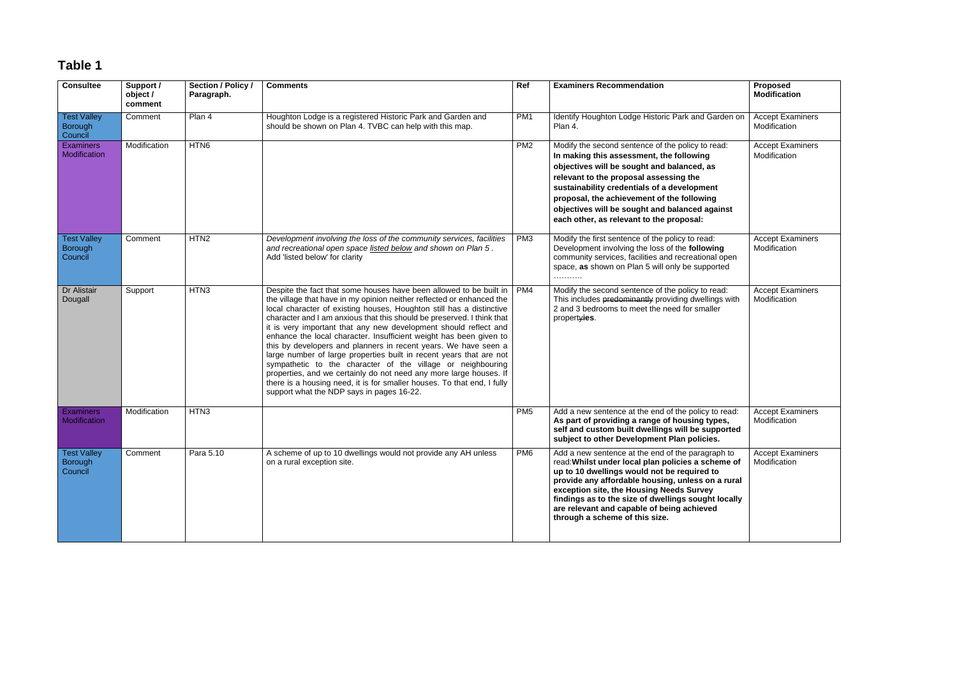# **Table 1**

| <b>Consultee</b>                                | Support /<br>object /<br>comment | Section / Policy /<br>Paragraph. | <b>Comments</b>                                                                                                                                                                                                                                                                                                                                                                                                                                                                                                                                                                                                                                                                                                                                                                                                                                | Ref             | <b>Examiners Recommendation</b>                                                                                                                                                                                                                                                                                                                                                                | Proposed<br><b>Modification</b>         |
|-------------------------------------------------|----------------------------------|----------------------------------|------------------------------------------------------------------------------------------------------------------------------------------------------------------------------------------------------------------------------------------------------------------------------------------------------------------------------------------------------------------------------------------------------------------------------------------------------------------------------------------------------------------------------------------------------------------------------------------------------------------------------------------------------------------------------------------------------------------------------------------------------------------------------------------------------------------------------------------------|-----------------|------------------------------------------------------------------------------------------------------------------------------------------------------------------------------------------------------------------------------------------------------------------------------------------------------------------------------------------------------------------------------------------------|-----------------------------------------|
| <b>Test Valley</b><br><b>Borough</b><br>Council | Comment                          | Plan 4                           | Houghton Lodge is a registered Historic Park and Garden and<br>should be shown on Plan 4. TVBC can help with this map.                                                                                                                                                                                                                                                                                                                                                                                                                                                                                                                                                                                                                                                                                                                         | PM <sub>1</sub> | Identify Houghton Lodge Historic Park and Garden on<br>Plan 4.                                                                                                                                                                                                                                                                                                                                 | <b>Accept Examiners</b><br>Modification |
| <b>Examiners</b><br>Modification                | Modification                     | HTN <sub>6</sub>                 |                                                                                                                                                                                                                                                                                                                                                                                                                                                                                                                                                                                                                                                                                                                                                                                                                                                | PM <sub>2</sub> | Modify the second sentence of the policy to read:<br>In making this assessment, the following<br>objectives will be sought and balanced, as<br>relevant to the proposal assessing the<br>sustainability credentials of a development<br>proposal, the achievement of the following<br>objectives will be sought and balanced against<br>each other, as relevant to the proposal:               | <b>Accept Examiners</b><br>Modification |
| <b>Test Valley</b><br><b>Borough</b><br>Council | Comment                          | HTN <sub>2</sub>                 | Development involving the loss of the community services, facilities<br>and recreational open space listed below and shown on Plan 5.<br>Add 'listed below' for clarity                                                                                                                                                                                                                                                                                                                                                                                                                                                                                                                                                                                                                                                                        | PM <sub>3</sub> | Modify the first sentence of the policy to read:<br>Development involving the loss of the following<br>community services, facilities and recreational open<br>space, as shown on Plan 5 will only be supported                                                                                                                                                                                | <b>Accept Examiners</b><br>Modification |
| Dr Alistair<br>Dougall                          | Support                          | HTN <sub>3</sub>                 | Despite the fact that some houses have been allowed to be built in<br>the village that have in my opinion neither reflected or enhanced the<br>local character of existing houses, Houghton still has a distinctive<br>character and I am anxious that this should be preserved. I think that<br>it is very important that any new development should reflect and<br>enhance the local character. Insufficient weight has been given to<br>this by developers and planners in recent years. We have seen a<br>large number of large properties built in recent years that are not<br>sympathetic to the character of the village or neighbouring<br>properties, and we certainly do not need any more large houses. If<br>there is a housing need, it is for smaller houses. To that end, I fully<br>support what the NDP says in pages 16-22. | PM4             | Modify the second sentence of the policy to read:<br>This includes predominantly providing dwellings with<br>2 and 3 bedrooms to meet the need for smaller<br>propertyies.                                                                                                                                                                                                                     | <b>Accept Examiners</b><br>Modification |
| <b>Examiners</b><br>Modification                | Modification                     | HTN3                             |                                                                                                                                                                                                                                                                                                                                                                                                                                                                                                                                                                                                                                                                                                                                                                                                                                                | PM <sub>5</sub> | Add a new sentence at the end of the policy to read:<br>As part of providing a range of housing types,<br>self and custom built dwellings will be supported<br>subject to other Development Plan policies.                                                                                                                                                                                     | <b>Accept Examiners</b><br>Modification |
| <b>Test Valley</b><br><b>Borough</b><br>Council | Comment                          | Para 5.10                        | A scheme of up to 10 dwellings would not provide any AH unless<br>on a rural exception site.                                                                                                                                                                                                                                                                                                                                                                                                                                                                                                                                                                                                                                                                                                                                                   | PM <sub>6</sub> | Add a new sentence at the end of the paragraph to<br>read: Whilst under local plan policies a scheme of<br>up to 10 dwellings would not be required to<br>provide any affordable housing, unless on a rural<br>exception site, the Housing Needs Survey<br>findings as to the size of dwellings sought locally<br>are relevant and capable of being achieved<br>through a scheme of this size. | <b>Accept Examiners</b><br>Modification |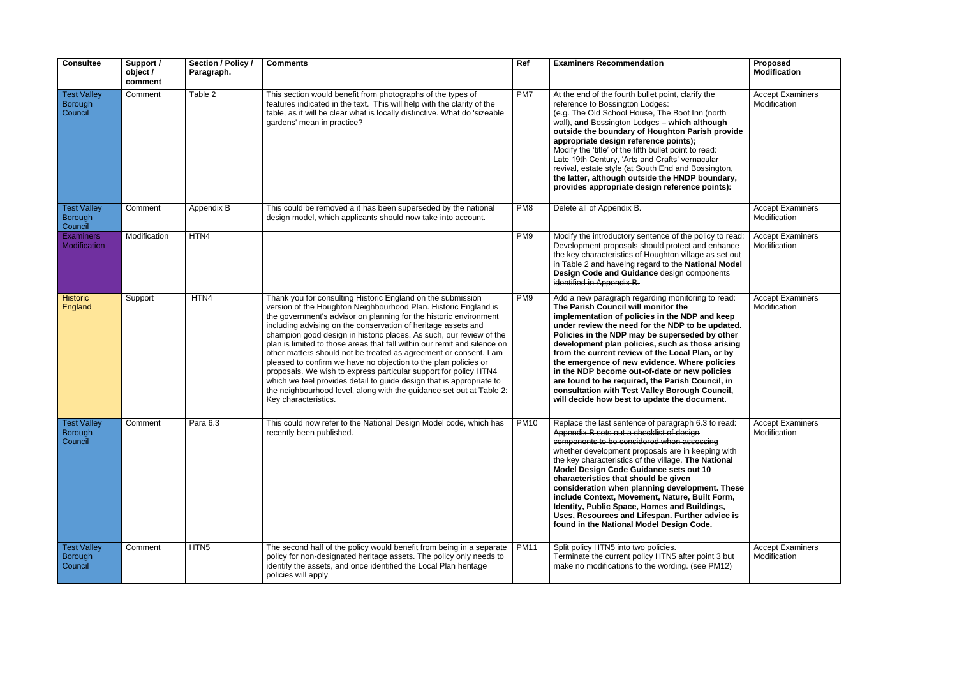| <b>Consultee</b>                                | Support /<br>object /<br>comment | Section / Policy /<br>Paragraph. | <b>Comments</b>                                                                                                                                                                                                                                                                                                                                                                                                                                                                                                                                                                                                                                                                                                                                                                                             | Ref             | <b>Examiners Recommendation</b>                                                                                                                                                                                                                                                                                                                                                                                                                                                                                                                                                                                  | Proposed<br><b>Modification</b>         |
|-------------------------------------------------|----------------------------------|----------------------------------|-------------------------------------------------------------------------------------------------------------------------------------------------------------------------------------------------------------------------------------------------------------------------------------------------------------------------------------------------------------------------------------------------------------------------------------------------------------------------------------------------------------------------------------------------------------------------------------------------------------------------------------------------------------------------------------------------------------------------------------------------------------------------------------------------------------|-----------------|------------------------------------------------------------------------------------------------------------------------------------------------------------------------------------------------------------------------------------------------------------------------------------------------------------------------------------------------------------------------------------------------------------------------------------------------------------------------------------------------------------------------------------------------------------------------------------------------------------------|-----------------------------------------|
| <b>Test Valley</b><br><b>Borough</b><br>Council | Comment                          | Table 2                          | This section would benefit from photographs of the types of<br>features indicated in the text. This will help with the clarity of the<br>table, as it will be clear what is locally distinctive. What do 'sizeable<br>gardens' mean in practice?                                                                                                                                                                                                                                                                                                                                                                                                                                                                                                                                                            | PM7             | At the end of the fourth bullet point, clarify the<br>reference to Bossington Lodges:<br>(e.g. The Old School House, The Boot Inn (north<br>wall), and Bossington Lodges - which although<br>outside the boundary of Houghton Parish provide<br>appropriate design reference points);<br>Modify the 'title' of the fifth bullet point to read:<br>Late 19th Century, 'Arts and Crafts' vernacular<br>revival, estate style (at South End and Bossington,<br>the latter, although outside the HNDP boundary,<br>provides appropriate design reference points):                                                    | <b>Accept Examiners</b><br>Modification |
| <b>Test Valley</b><br><b>Borough</b><br>Council | Comment                          | Appendix B                       | This could be removed a it has been superseded by the national<br>design model, which applicants should now take into account.                                                                                                                                                                                                                                                                                                                                                                                                                                                                                                                                                                                                                                                                              | PM <sub>8</sub> | Delete all of Appendix B.                                                                                                                                                                                                                                                                                                                                                                                                                                                                                                                                                                                        | <b>Accept Examiners</b><br>Modification |
| <b>Examiners</b><br>Modification                | Modification                     | HTN4                             |                                                                                                                                                                                                                                                                                                                                                                                                                                                                                                                                                                                                                                                                                                                                                                                                             | PM <sub>9</sub> | Modify the introductory sentence of the policy to read:<br>Development proposals should protect and enhance<br>the key characteristics of Houghton village as set out<br>in Table 2 and haveing regard to the National Model<br>Design Code and Guidance design components<br>identified in Appendix B.                                                                                                                                                                                                                                                                                                          | <b>Accept Examiners</b><br>Modification |
| <b>Historic</b><br>England                      | Support                          | HTN4                             | Thank you for consulting Historic England on the submission<br>version of the Houghton Neighbourhood Plan. Historic England is<br>the government's advisor on planning for the historic environment<br>including advising on the conservation of heritage assets and<br>champion good design in historic places. As such, our review of the<br>plan is limited to those areas that fall within our remit and silence on<br>other matters should not be treated as agreement or consent. I am<br>pleased to confirm we have no objection to the plan policies or<br>proposals. We wish to express particular support for policy HTN4<br>which we feel provides detail to guide design that is appropriate to<br>the neighbourhood level, along with the guidance set out at Table 2:<br>Key characteristics. | PM <sub>9</sub> | Add a new paragraph regarding monitoring to read:<br>The Parish Council will monitor the<br>implementation of policies in the NDP and keep<br>under review the need for the NDP to be updated.<br>Policies in the NDP may be superseded by other<br>development plan policies, such as those arising<br>from the current review of the Local Plan, or by<br>the emergence of new evidence. Where policies<br>in the NDP become out-of-date or new policies<br>are found to be required, the Parish Council, in<br>consultation with Test Valley Borough Council,<br>will decide how best to update the document. | <b>Accept Examiners</b><br>Modification |
| <b>Test Valley</b><br><b>Borough</b><br>Council | Comment                          | Para 6.3                         | This could now refer to the National Design Model code, which has<br>recently been published.                                                                                                                                                                                                                                                                                                                                                                                                                                                                                                                                                                                                                                                                                                               | <b>PM10</b>     | Replace the last sentence of paragraph 6.3 to read:<br>Appendix B sets out a checklist of design<br>components to be considered when assessing<br>whether development proposals are in keeping with<br>the key characteristics of the village. The National<br>Model Design Code Guidance sets out 10<br>characteristics that should be given<br>consideration when planning development. These<br>include Context, Movement, Nature, Built Form,<br>Identity, Public Space, Homes and Buildings,<br>Uses, Resources and Lifespan. Further advice is<br>found in the National Model Design Code.                 | <b>Accept Examiners</b><br>Modification |
| <b>Test Valley</b><br><b>Borough</b><br>Council | Comment                          | HTN <sub>5</sub>                 | The second half of the policy would benefit from being in a separate<br>policy for non-designated heritage assets. The policy only needs to<br>identify the assets, and once identified the Local Plan heritage<br>policies will apply                                                                                                                                                                                                                                                                                                                                                                                                                                                                                                                                                                      | <b>PM11</b>     | Split policy HTN5 into two policies.<br>Terminate the current policy HTN5 after point 3 but<br>make no modifications to the wording. (see PM12)                                                                                                                                                                                                                                                                                                                                                                                                                                                                  | <b>Accept Examiners</b><br>Modification |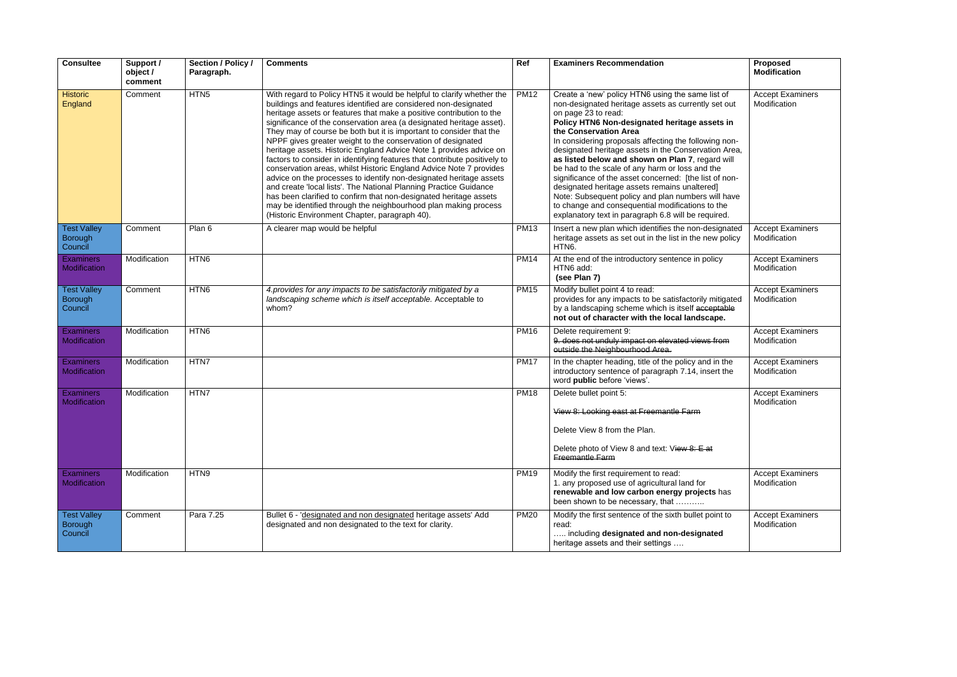| Consultee                                       | Support /<br>object /<br>comment | Section / Policy /<br>Paragraph. | <b>Comments</b>                                                                                                                                                                                                                                                                                                                                                                                                                                                                                                                                                                                                                                                                                                                                                                                                                                                                                                                                                                             | Ref         | <b>Examiners Recommendation</b>                                                                                                                                                                                                                                                                                                                                                                                                                                                                                                                                                                                                                                                                               | <b>Proposed</b><br><b>Modification</b>  |
|-------------------------------------------------|----------------------------------|----------------------------------|---------------------------------------------------------------------------------------------------------------------------------------------------------------------------------------------------------------------------------------------------------------------------------------------------------------------------------------------------------------------------------------------------------------------------------------------------------------------------------------------------------------------------------------------------------------------------------------------------------------------------------------------------------------------------------------------------------------------------------------------------------------------------------------------------------------------------------------------------------------------------------------------------------------------------------------------------------------------------------------------|-------------|---------------------------------------------------------------------------------------------------------------------------------------------------------------------------------------------------------------------------------------------------------------------------------------------------------------------------------------------------------------------------------------------------------------------------------------------------------------------------------------------------------------------------------------------------------------------------------------------------------------------------------------------------------------------------------------------------------------|-----------------------------------------|
| <b>Historic</b><br>England                      | Comment                          | HTN <sub>5</sub>                 | With regard to Policy HTN5 it would be helpful to clarify whether the<br>buildings and features identified are considered non-designated<br>heritage assets or features that make a positive contribution to the<br>significance of the conservation area (a designated heritage asset).<br>They may of course be both but it is important to consider that the<br>NPPF gives greater weight to the conservation of designated<br>heritage assets. Historic England Advice Note 1 provides advice on<br>factors to consider in identifying features that contribute positively to<br>conservation areas, whilst Historic England Advice Note 7 provides<br>advice on the processes to identify non-designated heritage assets<br>and create 'local lists'. The National Planning Practice Guidance<br>has been clarified to confirm that non-designated heritage assets<br>may be identified through the neighbourhood plan making process<br>(Historic Environment Chapter, paragraph 40). | <b>PM12</b> | Create a 'new' policy HTN6 using the same list of<br>non-designated heritage assets as currently set out<br>on page 23 to read:<br>Policy HTN6 Non-designated heritage assets in<br>the Conservation Area<br>In considering proposals affecting the following non-<br>designated heritage assets in the Conservation Area,<br>as listed below and shown on Plan 7, regard will<br>be had to the scale of any harm or loss and the<br>significance of the asset concerned: [the list of non-<br>designated heritage assets remains unaltered]<br>Note: Subsequent policy and plan numbers will have<br>to change and consequential modifications to the<br>explanatory text in paragraph 6.8 will be required. | <b>Accept Examiners</b><br>Modification |
| <b>Test Valley</b><br><b>Borough</b><br>Council | Comment                          | Plan 6                           | A clearer map would be helpful                                                                                                                                                                                                                                                                                                                                                                                                                                                                                                                                                                                                                                                                                                                                                                                                                                                                                                                                                              | <b>PM13</b> | Insert a new plan which identifies the non-designated<br>heritage assets as set out in the list in the new policy<br>HTN6.                                                                                                                                                                                                                                                                                                                                                                                                                                                                                                                                                                                    | <b>Accept Examiners</b><br>Modification |
| <b>Examiners</b><br><b>Modification</b>         | Modification                     | HTN <sub>6</sub>                 |                                                                                                                                                                                                                                                                                                                                                                                                                                                                                                                                                                                                                                                                                                                                                                                                                                                                                                                                                                                             | <b>PM14</b> | At the end of the introductory sentence in policy<br>HTN6 add:<br>(see Plan 7)                                                                                                                                                                                                                                                                                                                                                                                                                                                                                                                                                                                                                                | <b>Accept Examiners</b><br>Modification |
| <b>Test Valley</b><br><b>Borough</b><br>Council | Comment                          | HTN <sub>6</sub>                 | 4. provides for any impacts to be satisfactorily mitigated by a<br>landscaping scheme which is itself acceptable. Acceptable to<br>whom?                                                                                                                                                                                                                                                                                                                                                                                                                                                                                                                                                                                                                                                                                                                                                                                                                                                    | <b>PM15</b> | Modify bullet point 4 to read:<br>provides for any impacts to be satisfactorily mitigated<br>by a landscaping scheme which is itself acceptable<br>not out of character with the local landscape.                                                                                                                                                                                                                                                                                                                                                                                                                                                                                                             | <b>Accept Examiners</b><br>Modification |
| <b>Examiners</b><br>Modification                | Modification                     | HTN <sub>6</sub>                 |                                                                                                                                                                                                                                                                                                                                                                                                                                                                                                                                                                                                                                                                                                                                                                                                                                                                                                                                                                                             | <b>PM16</b> | Delete requirement 9:<br>9. does not unduly impact on elevated views from<br>outside the Neighbourhood Area.                                                                                                                                                                                                                                                                                                                                                                                                                                                                                                                                                                                                  | <b>Accept Examiners</b><br>Modification |
| <b>Examiners</b><br>Modification                | Modification                     | HTN7                             |                                                                                                                                                                                                                                                                                                                                                                                                                                                                                                                                                                                                                                                                                                                                                                                                                                                                                                                                                                                             | <b>PM17</b> | In the chapter heading, title of the policy and in the<br>introductory sentence of paragraph 7.14, insert the<br>word public before 'views'.                                                                                                                                                                                                                                                                                                                                                                                                                                                                                                                                                                  | <b>Accept Examiners</b><br>Modification |
| <b>Examiners</b><br>Modification                | Modification                     | HTN7                             |                                                                                                                                                                                                                                                                                                                                                                                                                                                                                                                                                                                                                                                                                                                                                                                                                                                                                                                                                                                             | <b>PM18</b> | Delete bullet point 5:<br>View 8: Looking east at Freemantle Farm<br>Delete View 8 from the Plan.<br>Delete photo of View 8 and text: View 8: E at<br>Freemantle Farm                                                                                                                                                                                                                                                                                                                                                                                                                                                                                                                                         | <b>Accept Examiners</b><br>Modification |
| <b>Examiners</b><br>Modification                | Modification                     | HTN9                             |                                                                                                                                                                                                                                                                                                                                                                                                                                                                                                                                                                                                                                                                                                                                                                                                                                                                                                                                                                                             | <b>PM19</b> | Modify the first requirement to read:<br>1. any proposed use of agricultural land for<br>renewable and low carbon energy projects has<br>been shown to be necessary, that                                                                                                                                                                                                                                                                                                                                                                                                                                                                                                                                     | <b>Accept Examiners</b><br>Modification |
| <b>Test Valley</b><br><b>Borough</b><br>Council | Comment                          | Para 7.25                        | Bullet 6 - 'designated and non designated heritage assets' Add<br>designated and non designated to the text for clarity.                                                                                                                                                                                                                                                                                                                                                                                                                                                                                                                                                                                                                                                                                                                                                                                                                                                                    | <b>PM20</b> | Modify the first sentence of the sixth bullet point to<br>read:<br>including designated and non-designated<br>heritage assets and their settings                                                                                                                                                                                                                                                                                                                                                                                                                                                                                                                                                              | <b>Accept Examiners</b><br>Modification |